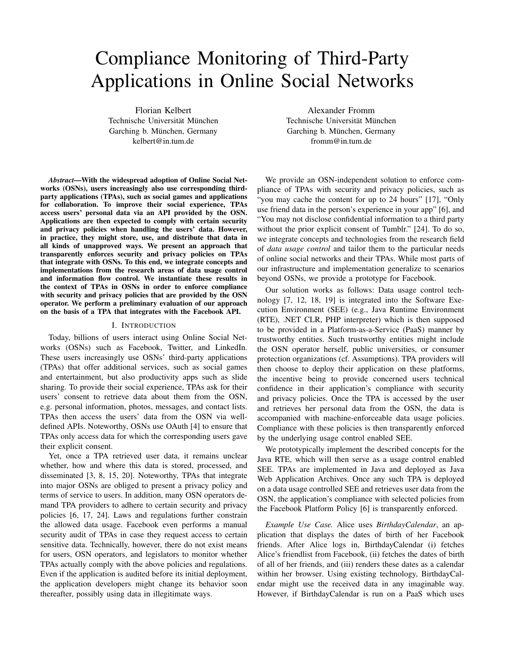# Compliance Monitoring of Third-Party Applications in Online Social Networks

Florian Kelbert Technische Universität München Garching b. München, Germany kelbert@in.tum.de

*Abstract*—With the widespread adoption of Online Social Networks (OSNs), users increasingly also use corresponding thirdparty applications (TPAs), such as social games and applications for collaboration. To improve their social experience, TPAs access users' personal data via an API provided by the OSN. Applications are then expected to comply with certain security and privacy policies when handling the users' data. However, in practice, they might store, use, and distribute that data in all kinds of unapproved ways. We present an approach that transparently enforces security and privacy policies on TPAs that integrate with OSNs. To this end, we integrate concepts and implementations from the research areas of data usage control and information flow control. We instantiate these results in the context of TPAs in OSNs in order to enforce compliance with security and privacy policies that are provided by the OSN operator. We perform a preliminary evaluation of our approach on the basis of a TPA that integrates with the Facebook API.

#### I. INTRODUCTION

<span id="page-0-0"></span>Today, billions of users interact using Online Social Networks (OSNs) such as Facebook, Twitter, and LinkedIn. These users increasingly use OSNs' third-party applications (TPAs) that offer additional services, such as social games and entertainment, but also productivity apps such as slide sharing. To provide their social experience, TPAs ask for their users' consent to retrieve data about them from the OSN, e.g. personal information, photos, messages, and contact lists. TPAs then access the users' data from the OSN via welldefined APIs. Noteworthy, OSNs use OAuth [\[4\]](#page-7-0) to ensure that TPAs only access data for which the corresponding users gave their explicit consent.

Yet, once a TPA retrieved user data, it remains unclear whether, how and where this data is stored, processed, and disseminated [\[3,](#page-7-1) [8,](#page-7-2) [15,](#page-7-3) [20\]](#page-7-4). Noteworthy, TPAs that integrate into major OSNs are obliged to present a privacy policy and terms of service to users. In addition, many OSN operators demand TPA providers to adhere to certain security and privacy policies [\[6,](#page-7-5) [17,](#page-7-6) [24\]](#page-7-7). Laws and regulations further constrain the allowed data usage. Facebook even performs a manual security audit of TPAs in case they request access to certain sensitive data. Technically, however, there do not exist means for users, OSN operators, and legislators to monitor whether TPAs actually comply with the above policies and regulations. Even if the application is audited before its initial deployment, the application developers might change its behavior soon thereafter, possibly using data in illegitimate ways.

Alexander Fromm Technische Universität München Garching b. München, Germany fromm@in.tum.de

We provide an OSN-independent solution to enforce compliance of TPAs with security and privacy policies, such as "you may cache the content for up to 24 hours" [\[17\]](#page-7-6), "Only use friend data in the person's experience in your app" [\[6\]](#page-7-5), and "You may not disclose confidential information to a third party without the prior explicit consent of Tumblr." [\[24\]](#page-7-7). To do so, we integrate concepts and technologies from the research field of *data usage control* and tailor them to the particular needs of online social networks and their TPAs. While most parts of our infrastructure and implementation generalize to scenarios beyond OSNs, we provide a prototype for Facebook.

Our solution works as follows: Data usage control technology [\[7,](#page-7-8) [12,](#page-7-9) [18,](#page-7-10) [19\]](#page-7-11) is integrated into the Software Execution Environment (SEE) (e.g., Java Runtime Environment (RTE), .NET CLR, PHP interpreter) which is then supposed to be provided in a Platform-as-a-Service (PaaS) manner by trustworthy entities. Such trustworthy entities might include the OSN operator herself, public universities, or consumer protection organizations (cf. Assumptions). TPA providers will then choose to deploy their application on these platforms, the incentive being to provide concerned users technical confidence in their application's compliance with security and privacy policies. Once the TPA is accessed by the user and retrieves her personal data from the OSN, the data is accompanied with machine-enforceable data usage policies. Compliance with these policies is then transparently enforced by the underlying usage control enabled SEE.

We prototypically implement the described concepts for the Java RTE, which will then serve as a usage control enabled SEE. TPAs are implemented in Java and deployed as Java Web Application Archives. Once any such TPA is deployed on a data usage controlled SEE and retrieves user data from the OSN, the application's compliance with selected policies from the Facebook Platform Policy [\[6\]](#page-7-5) is transparently enforced.

*Example Use Case.* Alice uses *BirthdayCalendar*, an application that displays the dates of birth of her Facebook friends. After Alice logs in, BirthdayCalendar (i) fetches Alice's friendlist from Facebook, (ii) fetches the dates of birth of all of her friends, and (iii) renders these dates as a calendar within her browser. Using existing technology, BirthdayCalendar might use the received data in any imaginable way. However, if BirthdayCalendar is run on a PaaS which uses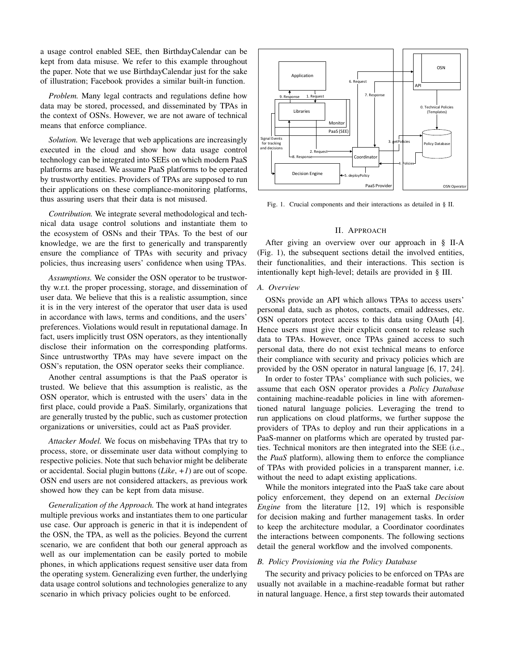a usage control enabled SEE, then BirthdayCalendar can be kept from data misuse. We refer to this example throughout the paper. Note that we use BirthdayCalendar just for the sake of illustration; Facebook provides a similar built-in function.

*Problem.* Many legal contracts and regulations define how data may be stored, processed, and disseminated by TPAs in the context of OSNs. However, we are not aware of technical means that enforce compliance.

*Solution.* We leverage that web applications are increasingly executed in the cloud and show how data usage control technology can be integrated into SEEs on which modern PaaS platforms are based. We assume PaaS platforms to be operated by trustworthy entities. Providers of TPAs are supposed to run their applications on these compliance-monitoring platforms, thus assuring users that their data is not misused.

*Contribution.* We integrate several methodological and technical data usage control solutions and instantiate them to the ecosystem of OSNs and their TPAs. To the best of our knowledge, we are the first to generically and transparently ensure the compliance of TPAs with security and privacy policies, thus increasing users' confidence when using TPAs.

*Assumptions.* We consider the OSN operator to be trustworthy w.r.t. the proper processing, storage, and dissemination of user data. We believe that this is a realistic assumption, since it is in the very interest of the operator that user data is used in accordance with laws, terms and conditions, and the users' preferences. Violations would result in reputational damage. In fact, users implicitly trust OSN operators, as they intentionally disclose their information on the corresponding platforms. Since untrustworthy TPAs may have severe impact on the OSN's reputation, the OSN operator seeks their compliance.

Another central assumptions is that the PaaS operator is trusted. We believe that this assumption is realistic, as the OSN operator, which is entrusted with the users' data in the first place, could provide a PaaS. Similarly, organizations that are generally trusted by the public, such as customer protection organizations or universities, could act as PaaS provider.

*Attacker Model.* We focus on misbehaving TPAs that try to process, store, or disseminate user data without complying to respective policies. Note that such behavior might be deliberate or accidental. Social plugin buttons (*Like*, *+1*) are out of scope. OSN end users are not considered attackers, as previous work showed how they can be kept from data misuse.

*Generalization of the Approach.* The work at hand integrates multiple previous works and instantiates them to one particular use case. Our approach is generic in that it is independent of the OSN, the TPA, as well as the policies. Beyond the current scenario, we are confident that both our general approach as well as our implementation can be easily ported to mobile phones, in which applications request sensitive user data from the operating system. Generalizing even further, the underlying data usage control solutions and technologies generalize to any scenario in which privacy policies ought to be enforced.



<span id="page-1-2"></span>Fig. 1. Crucial components and their interactions as detailed in § [II.](#page-1-0)

## II. APPROACH

<span id="page-1-0"></span>After giving an overview over our approach in § [II-A](#page-1-1) (Fig. [1\)](#page-1-2), the subsequent sections detail the involved entities, their functionalities, and their interactions. This section is intentionally kept high-level; details are provided in § [III.](#page-3-0)

# <span id="page-1-1"></span>*A. Overview*

OSNs provide an API which allows TPAs to access users' personal data, such as photos, contacts, email addresses, etc. OSN operators protect access to this data using OAuth [\[4\]](#page-7-0). Hence users must give their explicit consent to release such data to TPAs. However, once TPAs gained access to such personal data, there do not exist technical means to enforce their compliance with security and privacy policies which are provided by the OSN operator in natural language [\[6,](#page-7-5) [17,](#page-7-6) [24\]](#page-7-7).

In order to foster TPAs' compliance with such policies, we assume that each OSN operator provides a *Policy Database* containing machine-readable policies in line with aforementioned natural language policies. Leveraging the trend to run applications on cloud platforms, we further suppose the providers of TPAs to deploy and run their applications in a PaaS-manner on platforms which are operated by trusted parties. Technical monitors are then integrated into the SEE (i.e., the *PaaS* platform), allowing them to enforce the compliance of TPAs with provided policies in a transparent manner, i.e. without the need to adapt existing applications.

While the monitors integrated into the PaaS take care about policy enforcement, they depend on an external *Decision Engine* from the literature [\[12,](#page-7-9) [19\]](#page-7-11) which is responsible for decision making and further management tasks. In order to keep the architecture modular, a Coordinator coordinates the interactions between components. The following sections detail the general workflow and the involved components.

## <span id="page-1-3"></span>*B. Policy Provisioning via the Policy Database*

The security and privacy policies to be enforced on TPAs are usually not available in a machine-readable format but rather in natural language. Hence, a first step towards their automated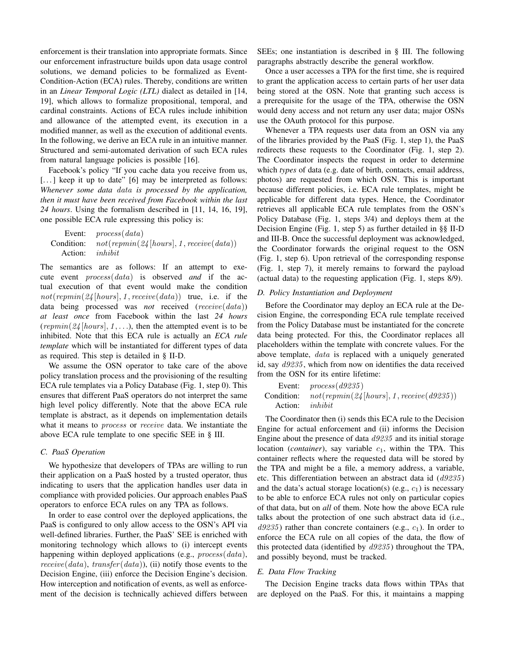enforcement is their translation into appropriate formats. Since our enforcement infrastructure builds upon data usage control solutions, we demand policies to be formalized as Event-Condition-Action (ECA) rules. Thereby, conditions are written in an *Linear Temporal Logic (LTL)* dialect as detailed in [\[14,](#page-7-12) [19\]](#page-7-11), which allows to formalize propositional, temporal, and cardinal constraints. Actions of ECA rules include inhibition and allowance of the attempted event, its execution in a modified manner, as well as the execution of additional events. In the following, we derive an ECA rule in an intuitive manner. Structured and semi-automated derivation of such ECA rules from natural language policies is possible [\[16\]](#page-7-13).

Facebook's policy "If you cache data you receive from us, [...] keep it up to date" [\[6\]](#page-7-5) may be interpreted as follows: *Whenever some data* data *is processed by the application, then it must have been received from Facebook within the last 24 hours*. Using the formalism described in [\[11,](#page-7-14) [14,](#page-7-12) [16,](#page-7-13) [19\]](#page-7-11), one possible ECA rule expressing this policy is:

```
Event: process(data)
Condition: not(remin(24 \mid hours), 1, receive(data))Action: inhibit
```
The semantics are as follows: If an attempt to execute event process(data) is observed *and* if the actual execution of that event would make the condition  $not(remin(24 \mid hours), 1, receive(data))$  true, i.e. if the data being processed was *not* received (receive(data)) *at least once* from Facebook within the last *24 hours* (repmin(24 [hours], 1, ...), then the attempted event is to be inhibited. Note that this ECA rule is actually an *ECA rule template* which will be instantiated for different types of data as required. This step is detailed in § [II-D.](#page-2-0)

We assume the OSN operator to take care of the above policy translation process and the provisioning of the resulting ECA rule templates via a Policy Database (Fig. [1,](#page-1-2) step 0). This ensures that different PaaS operators do not interpret the same high level policy differently. Note that the above ECA rule template is abstract, as it depends on implementation details what it means to process or receive data. We instantiate the above ECA rule template to one specific SEE in § [III.](#page-3-0)

## <span id="page-2-1"></span>*C. PaaS Operation*

We hypothesize that developers of TPAs are willing to run their application on a PaaS hosted by a trusted operator, thus indicating to users that the application handles user data in compliance with provided policies. Our approach enables PaaS operators to enforce ECA rules on any TPA as follows.

In order to ease control over the deployed applications, the PaaS is configured to only allow access to the OSN's API via well-defined libraries. Further, the PaaS' SEE is enriched with monitoring technology which allows to (i) intercept events happening within deployed applications (e.g.,  $process(data)$ ,  $receive(data)$ ,  $transfer(data)$ , (ii) notify those events to the Decision Engine, (iii) enforce the Decision Engine's decision. How interception and notification of events, as well as enforcement of the decision is technically achieved differs between SEEs; one instantiation is described in § [III.](#page-3-0) The following paragraphs abstractly describe the general workflow.

Once a user accesses a TPA for the first time, she is required to grant the application access to certain parts of her user data being stored at the OSN. Note that granting such access is a prerequisite for the usage of the TPA, otherwise the OSN would deny access and not return any user data; major OSNs use the OAuth protocol for this purpose.

Whenever a TPA requests user data from an OSN via any of the libraries provided by the PaaS (Fig. [1,](#page-1-2) step 1), the PaaS redirects these requests to the Coordinator (Fig. [1,](#page-1-2) step 2). The Coordinator inspects the request in order to determine which *types* of data (e.g. date of birth, contacts, email address, photos) are requested from which OSN. This is important because different policies, i.e. ECA rule templates, might be applicable for different data types. Hence, the Coordinator retrieves all applicable ECA rule templates from the OSN's Policy Database (Fig. [1,](#page-1-2) steps 3/4) and deploys them at the Decision Engine (Fig. [1,](#page-1-2) step 5) as further detailed in §§ [II-D](#page-2-0) and [III-B.](#page-4-0) Once the successful deployment was acknowledged, the Coordinator forwards the original request to the OSN (Fig. [1,](#page-1-2) step 6). Upon retrieval of the corresponding response (Fig. [1,](#page-1-2) step 7), it merely remains to forward the payload (actual data) to the requesting application (Fig. [1,](#page-1-2) steps 8/9).

#### <span id="page-2-0"></span>*D. Policy Instantiation and Deployment*

Before the Coordinator may deploy an ECA rule at the Decision Engine, the corresponding ECA rule template received from the Policy Database must be instantiated for the concrete data being protected. For this, the Coordinator replaces all placeholders within the template with concrete values. For the above template, data is replaced with a uniquely generated id, say d9235 , which from now on identifies the data received from the OSN for its entire lifetime:

Event: 
$$
process(d9235)
$$

\nCondition:  $not(repmin(24 \, [hours], 1, receive(d9235))$ 

\nAction:  $inhibit$ 

The Coordinator then (i) sends this ECA rule to the Decision Engine for actual enforcement and (ii) informs the Decision Engine about the presence of data  $d9235$  and its initial storage location (*container*), say variable  $c_1$ , within the TPA. This container reflects where the requested data will be stored by the TPA and might be a file, a memory address, a variable, etc. This differentiation between an abstract data id  $(d9235)$ and the data's actual storage location(s) (e.g.,  $c_1$ ) is necessary to be able to enforce ECA rules not only on particular copies of that data, but on *all* of them. Note how the above ECA rule talks about the protection of one such abstract data id (i.e.,  $d9235$ ) rather than concrete containers (e.g.,  $c_1$ ). In order to enforce the ECA rule on all copies of the data, the flow of this protected data (identified by  $d9235$ ) throughout the TPA, and possibly beyond, must be tracked.

## *E. Data Flow Tracking*

The Decision Engine tracks data flows within TPAs that are deployed on the PaaS. For this, it maintains a mapping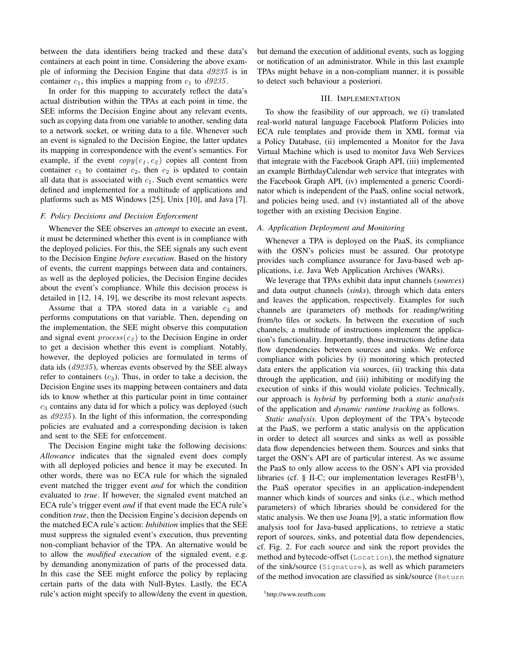between the data identifiers being tracked and these data's containers at each point in time. Considering the above example of informing the Decision Engine that data  $d9235$  is in container  $c_1$ , this implies a mapping from  $c_1$  to  $d9235$ .

In order for this mapping to accurately reflect the data's actual distribution within the TPAs at each point in time, the SEE informs the Decision Engine about any relevant events, such as copying data from one variable to another, sending data to a network socket, or writing data to a file. Whenever such an event is signaled to the Decision Engine, the latter updates its mapping in correspondence with the event's semantics. For example, if the event  $copy(c_1, c_2)$  copies all content from container  $c_1$  to container  $c_2$ , then  $c_2$  is updated to contain all data that is associated with  $c_1$ . Such event semantics were defined and implemented for a multitude of applications and platforms such as MS Windows [\[25\]](#page-7-15), Unix [\[10\]](#page-7-16), and Java [\[7\]](#page-7-8).

## *F. Policy Decisions and Decision Enforcement*

Whenever the SEE observes an *attempt* to execute an event, it must be determined whether this event is in compliance with the deployed policies. For this, the SEE signals any such event to the Decision Engine *before execution*. Based on the history of events, the current mappings between data and containers, as well as the deployed policies, the Decision Engine decides about the event's compliance. While this decision process is detailed in [\[12,](#page-7-9) [14,](#page-7-12) [19\]](#page-7-11), we describe its most relevant aspects.

Assume that a TPA stored data in a variable  $c_3$  and performs computations on that variable. Then, depending on the implementation, the SEE might observe this computation and signal event  $\text{process}(c_3)$  to the Decision Engine in order to get a decision whether this event is compliant. Notably, however, the deployed policies are formulated in terms of data ids  $(d9235)$ , whereas events observed by the SEE always refer to containers  $(c_3)$ . Thus, in order to take a decision, the Decision Engine uses its mapping between containers and data ids to know whether at this particular point in time container  $c<sub>3</sub>$  contains any data id for which a policy was deployed (such as  $d9235$ ). In the light of this information, the corresponding policies are evaluated and a corresponding decision is taken and sent to the SEE for enforcement.

The Decision Engine might take the following decisions: *Allowance* indicates that the signaled event does comply with all deployed policies and hence it may be executed. In other words, there was no ECA rule for which the signaled event matched the trigger event *and* for which the condition evaluated to *true*. If however, the signaled event matched an ECA rule's trigger event *and* if that event made the ECA rule's condition *true*, then the Decision Engine's decision depends on the matched ECA rule's action: *Inhibition* implies that the SEE must suppress the signaled event's execution, thus preventing non-compliant behavior of the TPA. An alternative would be to allow the *modified execution* of the signaled event, e.g. by demanding anonymization of parts of the processed data. In this case the SEE might enforce the policy by replacing certain parts of the data with Null-Bytes. Lastly, the ECA rule's action might specify to allow/deny the event in question, but demand the execution of additional events, such as logging or notification of an administrator. While in this last example TPAs might behave in a non-compliant manner, it is possible to detect such behaviour a posteriori.

#### III. IMPLEMENTATION

<span id="page-3-0"></span>To show the feasibility of our approach, we (i) translated real-world natural language Facebook Platform Policies into ECA rule templates and provide them in XML format via a Policy Database, (ii) implemented a Monitor for the Java Virtual Machine which is used to monitor Java Web Services that integrate with the Facebook Graph API, (iii) implemented an example BirthdayCalendar web service that integrates with the Facebook Graph API, (iv) implemented a generic Coordinator which is independent of the PaaS, online social network, and policies being used, and (v) instantiated all of the above together with an existing Decision Engine.

#### *A. Application Deployment and Monitoring*

Whenever a TPA is deployed on the PaaS, its compliance with the OSN's policies must be assured. Our prototype provides such compliance assurance for Java-based web applications, i.e. Java Web Application Archives (WARs).

We leverage that TPAs exhibit data input channels (*sources*) and data output channels (*sinks*), through which data enters and leaves the application, respectively. Examples for such channels are (parameters of) methods for reading/writing from/to files or sockets. In between the execution of such channels, a multitude of instructions implement the application's functionality. Importantly, those instructions define data flow dependencies between sources and sinks. We enforce compliance with policies by (i) monitoring which protected data enters the application via sources, (ii) tracking this data through the application, and (iii) inhibiting or modifying the execution of sinks if this would violate policies. Technically, our approach is *hybrid* by performing both a *static analysis* of the application and *dynamic runtime tracking* as follows.

*Static analysis.* Upon deployment of the TPA's bytecode at the PaaS, we perform a static analysis on the application in order to detect all sources and sinks as well as possible data flow dependencies between them. Sources and sinks that target the OSN's API are of particular interest. As we assume the PaaS to only allow access to the OSN's API via provided libraries (cf. § [II-C;](#page-2-1) our implementation leverages RestFB<sup>[1](#page-3-1)</sup>), the PaaS operator specifies in an application-independent manner which kinds of sources and sinks (i.e., which method parameters) of which libraries should be considered for the static analysis. We then use Joana [\[9\]](#page-7-17), a static information flow analysis tool for Java-based applications, to retrieve a static report of sources, sinks, and potential data flow dependencies, cf. Fig. [2.](#page-4-1) For each source and sink the report provides the method and bytecode-offset (Location), the method signature of the sink/source (Signature), as well as which parameters of the method invocation are classified as sink/source (Return

<span id="page-3-1"></span><sup>1</sup><http://www.restfb.com>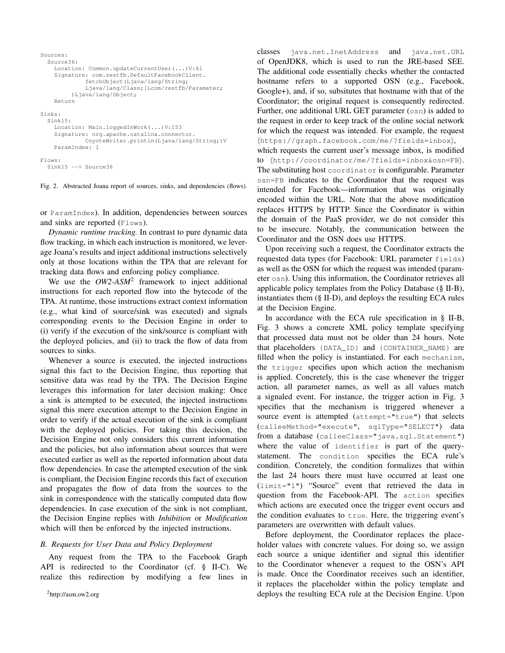```
Sources:
  Source36:
    Location: Common.updateCurrentUser(...)V:61
    Signature: com.restfb.DefaultFacebookClient.
             fetchObject(Ljava/lang/String;
             Ljava/lang/Class;[Lcom/restfb/Parameter;
         )Ljava/lang/Object;
    Return
Sinks:
  Sink15:
    Location: Main.loggedInWork(...)V:153
    Signature: org.apache.catalina.connector.
             CoyoteWriter.println(Ljava/lang/String;)V
    ParamIndex: 1
Flows:
  Sink15 --> Source36
```
<span id="page-4-1"></span>

or ParamIndex). In addition, dependencies between sources and sinks are reported (Flows).

*Dynamic runtime tracking.* In contrast to pure dynamic data flow tracking, in which each instruction is monitored, we leverage Joana's results and inject additional instructions selectively only at those locations within the TPA that are relevant for tracking data flows and enforcing policy compliance.

We use the *OW2-ASM*[2](#page-4-2) framework to inject additional instructions for each reported flow into the bytecode of the TPA. At runtime, those instructions extract context information (e.g., what kind of source/sink was executed) and signals corresponding events to the Decision Engine in order to (i) verify if the execution of the sink/source is compliant with the deployed policies, and (ii) to track the flow of data from sources to sinks.

Whenever a source is executed, the injected instructions signal this fact to the Decision Engine, thus reporting that sensitive data was read by the TPA. The Decision Engine leverages this information for later decision making: Once a sink is attempted to be executed, the injected instructions signal this mere execution attempt to the Decision Engine in order to verify if the actual execution of the sink is compliant with the deployed policies. For taking this decision, the Decision Engine not only considers this current information and the policies, but also information about sources that were executed earlier as well as the reported information about data flow dependencies. In case the attempted execution of the sink is compliant, the Decision Engine records this fact of execution and propagates the flow of data from the sources to the sink in correspondence with the statically computed data flow dependencies. In case execution of the sink is not compliant, the Decision Engine replies with *Inhibition* or *Modification* which will then be enforced by the injected instructions.

# <span id="page-4-0"></span>*B. Requests for User Data and Policy Deployment*

Any request from the TPA to the Facebook Graph API is redirected to the Coordinator (cf. § [II-C\)](#page-2-1). We realize this redirection by modifying a few lines in

<span id="page-4-2"></span><sup>2</sup><http://asm.ow2.org>

classes java.net.InetAddress and java.net.URL of OpenJDK8, which is used to run the JRE-based SEE. The additional code essentially checks whether the contacted hostname refers to a supported OSN (e.g., Facebook, Google+), and, if so, subsitutes that hostname with that of the Coordinator; the original request is consequently redirected. Further, one additional URL GET parameter ( $\circ$ sn) is added to the request in order to keep track of the online social network for which the request was intended. For example, the request 〈https://graph.facebook.com/me/?fields=inbox〉, which requests the current user's message inbox, is modified to 〈http://coordinator/me/?fields=inbox&osn=FB〉. The substituting host coordinator is configurable. Parameter osn=FB indicates to the Coordinator that the request was intended for Facebook—information that was originally encoded within the URL. Note that the above modification

replaces HTTPS by HTTP. Since the Coordinator is within the domain of the PaaS provider, we do not consider this to be insecure. Notably, the communication between the Coordinator and the OSN does use HTTPS.

Upon receiving such a request, the Coordinator extracts the requested data types (for Facebook: URL parameter fields) as well as the OSN for which the request was intended (parameter osn). Using this information, the Coordinator retrieves all applicable policy templates from the Policy Database (§ [II-B\)](#page-1-3), instantiates them (§ [II-D\)](#page-2-0), and deploys the resulting ECA rules at the Decision Engine.

In accordance with the ECA rule specification in § [II-B,](#page-1-3) Fig. [3](#page-5-0) shows a concrete XML policy template specifying that processed data must not be older than 24 hours. Note that placeholders {DATA\_ID} and {CONTAINER\_NAME} are filled when the policy is instantiated. For each mechanism, the trigger specifies upon which action the mechanism is applied. Concretely, this is the case whenever the trigger action, all parameter names, as well as all values match a signaled event. For instance, the trigger action in Fig. [3](#page-5-0) specifies that the mechanism is triggered whenever a source event is attempted (attempt="true") that selects (calleeMethod="execute", sqlType="SELECT") data from a database (calleeClass="java.sql.Statement") where the value of identifier is part of the querystatement. The condition specifies the ECA rule's condition. Concretely, the condition formalizes that within the last 24 hours there must have occurred at least one (limit="1") "Source" event that retrieved the data in question from the Facebook-API. The action specifies which actions are executed once the trigger event occurs and the condition evaluates to true. Here, the triggering event's parameters are overwritten with default values.

Before deployment, the Coordinator replaces the placeholder values with concrete values. For doing so, we assign each source a unique identifier and signal this identifier to the Coordinator whenever a request to the OSN's API is made. Once the Coordinator receives such an identifier, it replaces the placeholder within the policy template and deploys the resulting ECA rule at the Decision Engine. Upon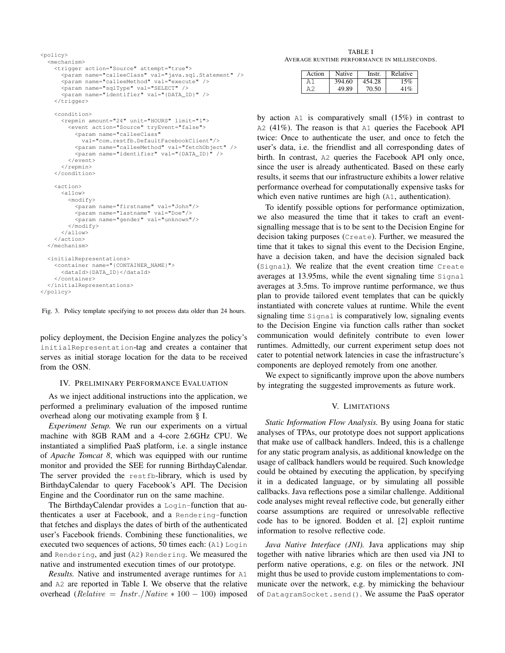```
<policy>
  <mechanism>
    <trigger action="Source" attempt="true">
      <param name="calleeClass" val="java.sql.Statement" />
      <param name="calleeMethod" val="execute" />
      <param name="sqlType" val="SELECT" />
      <param name="identifier" val="{DATA_ID}" />
    </trigger>
    <condition>
      <repmin amount="24" unit="HOURS" limit="1">
        <event action="Source" tryEvent="false">
          <param name="calleeClass"
            val="com.restfb.DefaultFacebookClient"/>
          <param name="calleeMethod" val="fetchObject" />
          <param name="identifier" val="{DATA_ID}" />
        </event>
      \langle/repmin>
    </condition>
    <action>
      <allow>
        <modify>
          <param name="firstname" val="John"/>
          <param name="lastname" val="Doe"/>
          <param name="gender" val="unknown"/>
        </modify>
      </allow>
    </action>
  </mechanism>
  <initialRepresentations>
    <container name="{CONTAINER_NAME}">
      <dataId>{DATA_ID}</dataId>
    </container>
  </initialRepresentations>
</policy>
```
<span id="page-5-0"></span>Fig. 3. Policy template specifying to not process data older than 24 hours.

policy deployment, the Decision Engine analyzes the policy's initialRepresentation-tag and creates a container that serves as initial storage location for the data to be received from the OSN.

#### IV. PRELIMINARY PERFORMANCE EVALUATION

<span id="page-5-2"></span>As we inject additional instructions into the application, we performed a preliminary evaluation of the imposed runtime overhead along our motivating example from § [I.](#page-0-0)

*Experiment Setup.* We run our experiments on a virtual machine with 8GB RAM and a 4-core 2.6GHz CPU. We instantiated a simplified PaaS platform, i.e. a single instance of *Apache Tomcat 8*, which was equipped with our runtime monitor and provided the SEE for running BirthdayCalendar. The server provided the restfb-library, which is used by BirthdayCalendar to query Facebook's API. The Decision Engine and the Coordinator run on the same machine.

The BirthdayCalendar provides a Login-function that authenticates a user at Facebook, and a Rendering-function that fetches and displays the dates of birth of the authenticated user's Facebook friends. Combining these functionalities, we executed two sequences of actions, 50 times each: (A1) Login and Rendering, and just (A2) Rendering. We measured the native and instrumented execution times of our prototype.

*Results.* Native and instrumented average runtimes for A1 and A2 are reported in Table [I.](#page-5-1) We observe that the relative overhead ( $Relative = Instr./Native * 100 - 100$ ) imposed

<span id="page-5-1"></span>TABLE I AVERAGE RUNTIME PERFORMANCE IN MILLISECONDS.

| Action | Native | Instr. | Relative |
|--------|--------|--------|----------|
|        | 394.60 | 454.28 |          |
|        | 49.89  | 70.50  | 41%      |

by action A1 is comparatively small (15%) in contrast to A2 (41%). The reason is that A1 queries the Facebook API twice: Once to authenticate the user, and once to fetch the user's data, i.e. the friendlist and all corresponding dates of birth. In contrast, A2 queries the Facebook API only once, since the user is already authenticated. Based on these early results, it seems that our infrastructure exhibits a lower relative performance overhead for computationally expensive tasks for which even native runtimes are high ( $A1$ , authentication).

To identify possible options for performance optimization, we also measured the time that it takes to craft an eventsignalling message that is to be sent to the Decision Engine for decision taking purposes (Create). Further, we measured the time that it takes to signal this event to the Decision Engine, have a decision taken, and have the decision signaled back (Signal). We realize that the event creation time Create averages at 13.95ms, while the event signaling time Signal averages at 3.5ms. To improve runtime performance, we thus plan to provide tailored event templates that can be quickly instantiated with concrete values at runtime. While the event signaling time Signal is comparatively low, signaling events to the Decision Engine via function calls rather than socket communication would definitely contribute to even lower runtimes. Admittedly, our current experiment setup does not cater to potential network latencies in case the infrastructure's components are deployed remotely from one another.

We expect to significantly improve upon the above numbers by integrating the suggested improvements as future work.

### V. LIMITATIONS

*Static Information Flow Analysis.* By using Joana for static analyses of TPAs, our prototype does not support applications that make use of callback handlers. Indeed, this is a challenge for any static program analysis, as additional knowledge on the usage of callback handlers would be required. Such knowledge could be obtained by executing the application, by specifying it in a dedicated language, or by simulating all possible callbacks. Java reflections pose a similar challenge. Additional code analyses might reveal reflective code, but generally either coarse assumptions are required or unresolvable reflective code has to be ignored. Bodden et al. [\[2\]](#page-7-18) exploit runtime information to resolve reflective code.

*Java Native Interface (JNI).* Java applications may ship together with native libraries which are then used via JNI to perform native operations, e.g. on files or the network. JNI might thus be used to provide custom implementations to communicate over the network, e.g. by mimicking the behaviour of DatagramSocket.send(). We assume the PaaS operator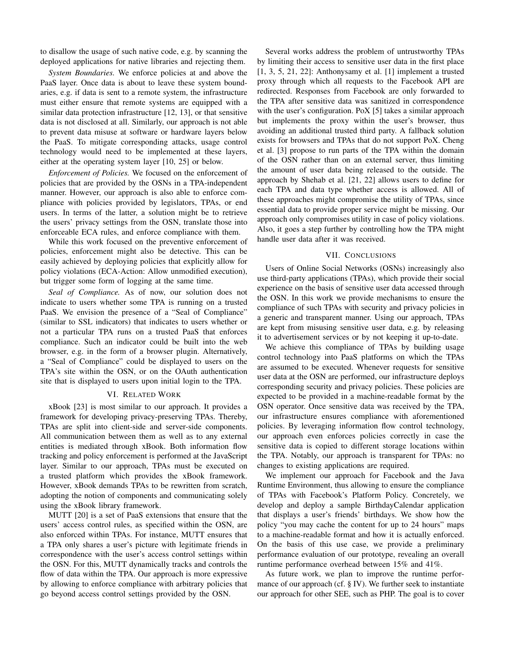to disallow the usage of such native code, e.g. by scanning the deployed applications for native libraries and rejecting them.

*System Boundaries.* We enforce policies at and above the PaaS layer. Once data is about to leave these system boundaries, e.g. if data is sent to a remote system, the infrastructure must either ensure that remote systems are equipped with a similar data protection infrastructure [\[12,](#page-7-9) [13\]](#page-7-19), or that sensitive data is not disclosed at all. Similarly, our approach is not able to prevent data misuse at software or hardware layers below the PaaS. To mitigate corresponding attacks, usage control technology would need to be implemented at these layers, either at the operating system layer [\[10,](#page-7-16) [25\]](#page-7-15) or below.

*Enforcement of Policies.* We focused on the enforcement of policies that are provided by the OSNs in a TPA-independent manner. However, our approach is also able to enforce compliance with policies provided by legislators, TPAs, or end users. In terms of the latter, a solution might be to retrieve the users' privacy settings from the OSN, translate those into enforceable ECA rules, and enforce compliance with them.

While this work focused on the preventive enforcement of policies, enforcement might also be detective. This can be easily achieved by deploying policies that explicitly allow for policy violations (ECA-Action: Allow unmodified execution), but trigger some form of logging at the same time.

*Seal of Compliance.* As of now, our solution does not indicate to users whether some TPA is running on a trusted PaaS. We envision the presence of a "Seal of Compliance" (similar to SSL indicators) that indicates to users whether or not a particular TPA runs on a trusted PaaS that enforces compliance. Such an indicator could be built into the web browser, e.g. in the form of a browser plugin. Alternatively, a "Seal of Compliance" could be displayed to users on the TPA's site within the OSN, or on the OAuth authentication site that is displayed to users upon initial login to the TPA.

## VI. RELATED WORK

xBook [\[23\]](#page-7-20) is most similar to our approach. It provides a framework for developing privacy-preserving TPAs. Thereby, TPAs are split into client-side and server-side components. All communication between them as well as to any external entities is mediated through xBook. Both information flow tracking and policy enforcement is performed at the JavaScript layer. Similar to our approach, TPAs must be executed on a trusted platform which provides the xBook framework. However, xBook demands TPAs to be rewritten from scratch, adopting the notion of components and communicating solely using the xBook library framework.

MUTT [\[20\]](#page-7-4) is a set of PaaS extensions that ensure that the users' access control rules, as specified within the OSN, are also enforced within TPAs. For instance, MUTT ensures that a TPA only shares a user's picture with legitimate friends in correspondence with the user's access control settings within the OSN. For this, MUTT dynamically tracks and controls the flow of data within the TPA. Our approach is more expressive by allowing to enforce compliance with arbitrary policies that go beyond access control settings provided by the OSN.

Several works address the problem of untrustworthy TPAs by limiting their access to sensitive user data in the first place  $[1, 3, 5, 21, 22]$  $[1, 3, 5, 21, 22]$  $[1, 3, 5, 21, 22]$  $[1, 3, 5, 21, 22]$  $[1, 3, 5, 21, 22]$ : Anthonysamy et al.  $[1]$  implement a trusted proxy through which all requests to the Facebook API are redirected. Responses from Facebook are only forwarded to the TPA after sensitive data was sanitized in correspondence with the user's configuration. PoX [\[5\]](#page-7-22) takes a similar approach but implements the proxy within the user's browser, thus avoiding an additional trusted third party. A fallback solution exists for browsers and TPAs that do not support PoX. Cheng et al. [\[3\]](#page-7-1) propose to run parts of the TPA within the domain of the OSN rather than on an external server, thus limiting the amount of user data being released to the outside. The approach by Shehab et al. [\[21,](#page-7-23) [22\]](#page-7-24) allows users to define for each TPA and data type whether access is allowed. All of these approaches might compromise the utility of TPAs, since essential data to provide proper service might be missing. Our approach only compromises utility in case of policy violations. Also, it goes a step further by controlling how the TPA might handle user data after it was received.

## VII. CONCLUSIONS

Users of Online Social Networks (OSNs) increasingly also use third-party applications (TPAs), which provide their social experience on the basis of sensitive user data accessed through the OSN. In this work we provide mechanisms to ensure the compliance of such TPAs with security and privacy policies in a generic and transparent manner. Using our approach, TPAs are kept from misusing sensitive user data, e.g. by releasing it to advertisement services or by not keeping it up-to-date.

We achieve this compliance of TPAs by building usage control technology into PaaS platforms on which the TPAs are assumed to be executed. Whenever requests for sensitive user data at the OSN are performed, our infrastructure deploys corresponding security and privacy policies. These policies are expected to be provided in a machine-readable format by the OSN operator. Once sensitive data was received by the TPA, our infrastructure ensures compliance with aforementioned policies. By leveraging information flow control technology, our approach even enforces policies correctly in case the sensitive data is copied to different storage locations within the TPA. Notably, our approach is transparent for TPAs: no changes to existing applications are required.

We implement our approach for Facebook and the Java Runtime Environment, thus allowing to ensure the compliance of TPAs with Facebook's Platform Policy. Concretely, we develop and deploy a sample BirthdayCalendar application that displays a user's friends' birthdays. We show how the policy "you may cache the content for up to 24 hours" maps to a machine-readable format and how it is actually enforced. On the basis of this use case, we provide a preliminary performance evaluation of our prototype, revealing an overall runtime performance overhead between 15% and 41%.

As future work, we plan to improve the runtime performance of our approach (cf. § [IV\)](#page-5-2). We further seek to instantiate our approach for other SEE, such as PHP. The goal is to cover